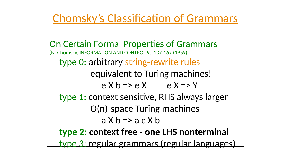

# Chomsky's Classification of Grammars

- On Certain Formal Properties of Grammars (N. Chomsky, INFORMATION AND CONTROL 9., 137-167 (1959) type 0: arbitrary string-rewrite rules equivalent to Turing machines!  $e X b \Rightarrow e X$   $e X \Rightarrow Y$ type 1: context sensitive, RHS always larger O(n)-space Turing machines  $a \times b \Rightarrow a \in X b$ type 2: context free - one LHS nonterminal type 3: regular grammars (regular languages)
	-



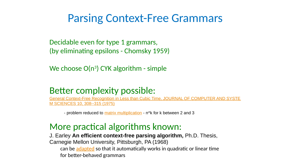

We choose  $O(n^3)$  CYK algorithm - simple

# Parsing Context-Free Grammars

Decidable even for type 1 grammars, (by eliminating epsilons - Chomsky 1959)



Better complexity possible: General Context-Free Recognition in Less than Cubic Time, JOURNAL OF COMPUTER AND SYSTE M SCIENCES 10, 308--315 (1975)

- problem reduced to *matrix multiplication* - n<sup>^</sup>k for k between 2 and 3

More practical algorithms known: J. Earley An efficient context-free parsing algorithm, Ph.D. Thesis, Carnegie Mellon University, Pittsburgh, PA (1968) can be adapted so that it automatically works in quadratic or linear time for better-behaved grammars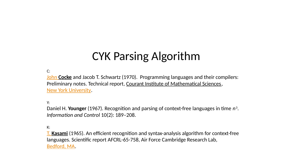# CYK Parsing Algorithm

C: John Cocke and Jacob T. Schwartz (1970). Programming languages and their compilers: Preliminary notes. Technical report, Courant Institute of Mathematical Sciences, New York University.

Y: Daniel H. Younger (1967). Recognition and parsing of context-free languages in time  $n^3$ . Information and Control 10(2): 189–208.

K: **T. Kasami** (1965). An efficient recognition and syntax-analysis algorithm for context-free languages. Scientific report AFCRL-65-758, Air Force Cambridge Research Lab, Bedford, MA.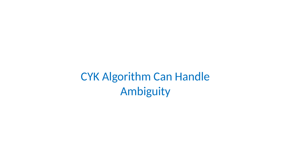CYK Algorithm Can Handle Ambiguity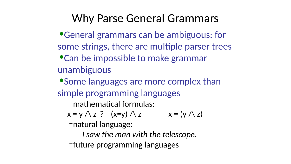Why Parse General Grammars •General grammars can be ambiguous: for some strings, there are multiple parser trees •Can be impossible to make grammar

unambiguous

•Some languages are more complex than simple programming languages –mathematical formulas:

 $x = y \wedge z$  ?  $(x=y) \wedge z$   $x = (y \wedge z)$ 

–natural language:

I saw the man with the telescope. –future programming languages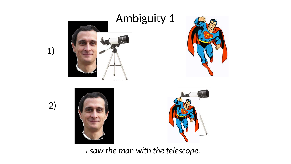



### I saw the man with the telescope.





### 1)

2)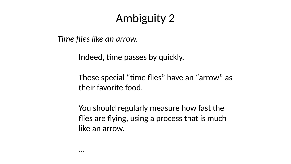# Ambiguity 2

### Time flies like an arrow.

Indeed, time passes by quickly.

### Those special "time flies" have an "arrow" as their favorite food.

### You should regularly measure how fast the flies are flying, using a process that is much

like an arrow.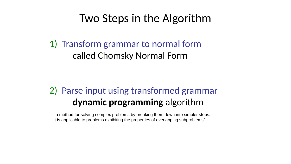# Two Steps in the Algorithm

1) Transform grammar to normal form called Chomsky Normal Form

### 2) Parse input using transformed grammar dynamic programming algorithm

"a method for solving complex problems by breaking them down into simpler steps. It is applicable to problems exhibiting the properties of overlapping subproblems"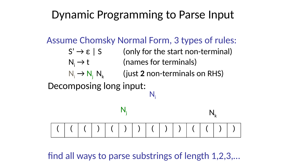# Dynamic Programming to Parse Input

# Assume Chomsky Normal Form, 3 types of rules:  $S' \rightarrow \varepsilon$  | S (only for the start non-terminal)  $N_i \rightarrow N_i$ ,  $N_k$  (just 2 non-terminals on RHS)

- $N_i \rightarrow t$  (names for terminals)
	-
- Decomposing long input:

### find all ways to parse substrings of length 1,2,3,…

| <b>Service Service</b> |
|------------------------|
|                        |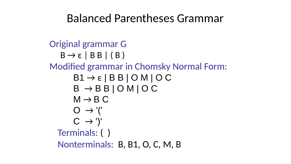# Balanced Parentheses Grammar



### Original grammar G  $B \rightarrow \varepsilon \mid BB \mid (B)$ Modified grammar in Chomsky Normal Form:  $B1 \rightarrow \varepsilon \mid B B \mid O M \mid O C$  $B \rightarrow B B | O M | O C$  $M \rightarrow B C$  $\bigcirc$   $\rightarrow$  '('  $C \rightarrow ')'$ Terminals: ( ) Nonterminals: B, B1, O, C, M, B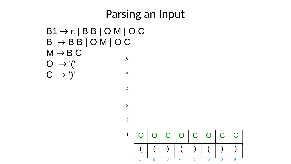# Parsing an Input  $B1 \rightarrow \varepsilon \mid B B \mid O M \mid O C$  $B \rightarrow B B | O M | O C$  $M \rightarrow B C$  $\bigcirc \rightarrow '('$  $C \rightarrow ')'$ 2 3 4 5 6

|  |  | O O C O C O C C                                           |  |  |
|--|--|-----------------------------------------------------------|--|--|
|  |  | $ \; ( \;   \; ) \;   \; ( \;   \; ) \;   \; ( \;   \; )$ |  |  |
|  |  |                                                           |  |  |

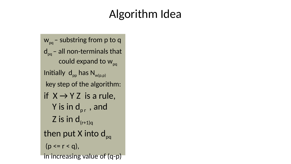# Algorithm Idea

Z is in  $d_{(r+1)q}$ (p <= r < q),

w<sub>pq</sub> – substring from p to q  $d_{pq}$  – all non-terminals that could expand to w<sub>pq</sub> Initially  $d_{pp}$  has  $N_{w(p,p)}$ key step of the algorithm: if  $X \rightarrow Y Z$  is a rule, Y is in d<sub>pr</sub>, and then put X into d<sub>pq</sub> in increasing value of (q-p)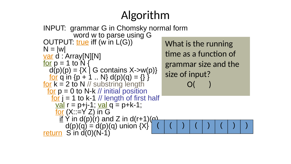# $N = |W|$ var d : Array[N][N] for  $p = 1$  to  $N$  {

### Algorithm INPUT: grammar G in Chomsky normal form word w to parse using G OUTPUT: true iff (win L(G)) What is the running

 $d(p)(p) = {X \mid G \text{ contains } X\text{-}>w(p)}$ <u>for</u> q in {p + 1 .. N}  $d(p)(q) = \{\}$ } <u>for</u> k = 2 to N // substring length<br>
<u>for</u> p = 0 to N-k // initial position<br>
<u>for</u> j = 1 to k-1 // length of first half<br>
<u>val</u> r = p+j-1; <u>val</u> q = p+k-1;<br>
<u>for</u> (X::=Y Z) in G <u>if</u> Y in  $d(p)(r)$  and Z in  $d(r+1)(r)$  $d(p)(q) = d(p)(q)$  union  $\{X\}$ return S'in d(0)(N-1)  $( | ( | ) | ( | ) | ( | ) | )$ size of input? O( )

time as a function of grammar size and the